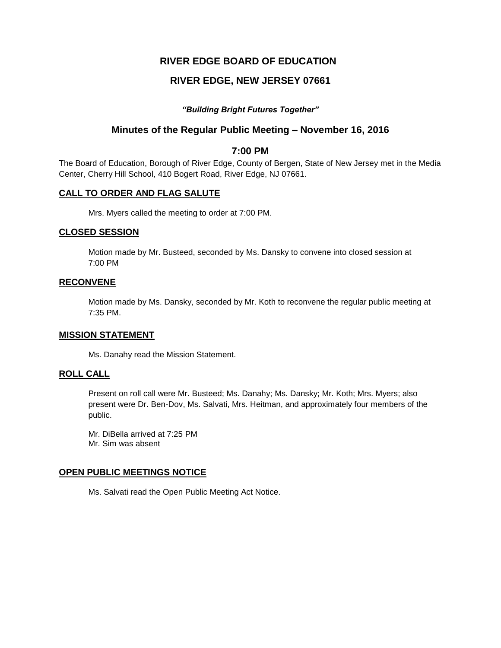# **RIVER EDGE BOARD OF EDUCATION**

# **RIVER EDGE, NEW JERSEY 07661**

### *"Building Bright Futures Together"*

## **Minutes of the Regular Public Meeting – November 16, 2016**

### **7:00 PM**

The Board of Education, Borough of River Edge, County of Bergen, State of New Jersey met in the Media Center, Cherry Hill School, 410 Bogert Road, River Edge, NJ 07661.

### **CALL TO ORDER AND FLAG SALUTE**

Mrs. Myers called the meeting to order at 7:00 PM.

#### **CLOSED SESSION**

Motion made by Mr. Busteed, seconded by Ms. Dansky to convene into closed session at 7:00 PM

## **RECONVENE**

Motion made by Ms. Dansky, seconded by Mr. Koth to reconvene the regular public meeting at 7:35 PM.

#### **MISSION STATEMENT**

Ms. Danahy read the Mission Statement.

#### **ROLL CALL**

Present on roll call were Mr. Busteed; Ms. Danahy; Ms. Dansky; Mr. Koth; Mrs. Myers; also present were Dr. Ben-Dov, Ms. Salvati, Mrs. Heitman, and approximately four members of the public.

Mr. DiBella arrived at 7:25 PM Mr. Sim was absent

### **OPEN PUBLIC MEETINGS NOTICE**

Ms. Salvati read the Open Public Meeting Act Notice.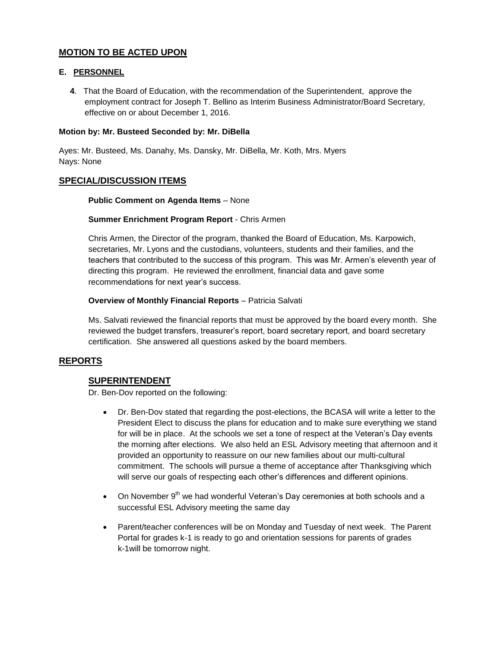## **MOTION TO BE ACTED UPON**

### **E. PERSONNEL**

**4**. That the Board of Education, with the recommendation of the Superintendent, approve the employment contract for Joseph T. Bellino as Interim Business Administrator/Board Secretary, effective on or about December 1, 2016.

### **Motion by: Mr. Busteed Seconded by: Mr. DiBella**

Ayes: Mr. Busteed, Ms. Danahy, Ms. Dansky, Mr. DiBella, Mr. Koth, Mrs. Myers Nays: None

### **SPECIAL/DISCUSSION ITEMS**

### **Public Comment on Agenda Items** – None

### **Summer Enrichment Program Report** - Chris Armen

Chris Armen, the Director of the program, thanked the Board of Education, Ms. Karpowich, secretaries, Mr. Lyons and the custodians, volunteers, students and their families, and the teachers that contributed to the success of this program. This was Mr. Armen's eleventh year of directing this program. He reviewed the enrollment, financial data and gave some recommendations for next year's success.

### **Overview of Monthly Financial Reports** – Patricia Salvati

Ms. Salvati reviewed the financial reports that must be approved by the board every month. She reviewed the budget transfers, treasurer's report, board secretary report, and board secretary certification. She answered all questions asked by the board members.

## **REPORTS**

## **SUPERINTENDENT**

Dr. Ben-Dov reported on the following:

- Dr. Ben-Dov stated that regarding the post-elections, the BCASA will write a letter to the President Elect to discuss the plans for education and to make sure everything we stand for will be in place. At the schools we set a tone of respect at the Veteran's Day events the morning after elections. We also held an ESL Advisory meeting that afternoon and it provided an opportunity to reassure on our new families about our multi-cultural commitment. The schools will pursue a theme of acceptance after Thanksgiving which will serve our goals of respecting each other's differences and different opinions.
- $\bullet$  On November 9<sup>th</sup> we had wonderful Veteran's Day ceremonies at both schools and a successful ESL Advisory meeting the same day
- Parent/teacher conferences will be on Monday and Tuesday of next week. The Parent Portal for grades k-1 is ready to go and orientation sessions for parents of grades k-1will be tomorrow night.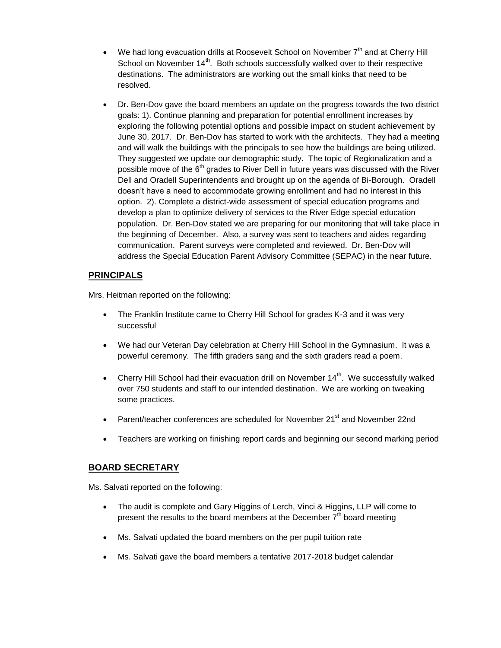- We had long evacuation drills at Roosevelt School on November  $7<sup>th</sup>$  and at Cherry Hill School on November 14<sup>th</sup>. Both schools successfully walked over to their respective destinations. The administrators are working out the small kinks that need to be resolved.
- Dr. Ben-Dov gave the board members an update on the progress towards the two district goals: 1). Continue planning and preparation for potential enrollment increases by exploring the following potential options and possible impact on student achievement by June 30, 2017. Dr. Ben-Dov has started to work with the architects. They had a meeting and will walk the buildings with the principals to see how the buildings are being utilized. They suggested we update our demographic study. The topic of Regionalization and a possible move of the  $6<sup>th</sup>$  grades to River Dell in future years was discussed with the River Dell and Oradell Superintendents and brought up on the agenda of Bi-Borough. Oradell doesn't have a need to accommodate growing enrollment and had no interest in this option. 2). Complete a district-wide assessment of special education programs and develop a plan to optimize delivery of services to the River Edge special education population. Dr. Ben-Dov stated we are preparing for our monitoring that will take place in the beginning of December. Also, a survey was sent to teachers and aides regarding communication. Parent surveys were completed and reviewed. Dr. Ben-Dov will address the Special Education Parent Advisory Committee (SEPAC) in the near future.

# **PRINCIPALS**

Mrs. Heitman reported on the following:

- The Franklin Institute came to Cherry Hill School for grades K-3 and it was very successful
- We had our Veteran Day celebration at Cherry Hill School in the Gymnasium. It was a powerful ceremony. The fifth graders sang and the sixth graders read a poem.
- Cherry Hill School had their evacuation drill on November 14<sup>th</sup>. We successfully walked over 750 students and staff to our intended destination. We are working on tweaking some practices.
- Parent/teacher conferences are scheduled for November 21<sup>st</sup> and November 22nd
- Teachers are working on finishing report cards and beginning our second marking period

## **BOARD SECRETARY**

Ms. Salvati reported on the following:

- The audit is complete and Gary Higgins of Lerch, Vinci & Higgins, LLP will come to present the results to the board members at the December  $7<sup>th</sup>$  board meeting
- Ms. Salvati updated the board members on the per pupil tuition rate
- Ms. Salvati gave the board members a tentative 2017-2018 budget calendar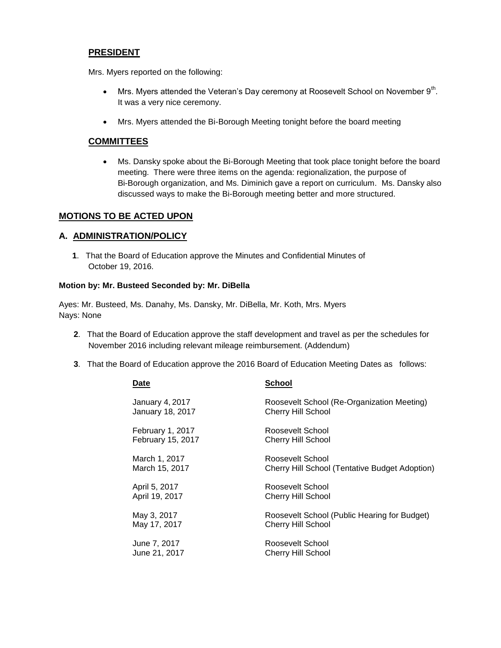## **PRESIDENT**

Mrs. Myers reported on the following:

- Mrs. Myers attended the Veteran's Day ceremony at Roosevelt School on November  $9<sup>th</sup>$ . It was a very nice ceremony.
- Mrs. Myers attended the Bi-Borough Meeting tonight before the board meeting

## **COMMITTEES**

 Ms. Dansky spoke about the Bi-Borough Meeting that took place tonight before the board meeting. There were three items on the agenda: regionalization, the purpose of Bi-Borough organization, and Ms. Diminich gave a report on curriculum. Ms. Dansky also discussed ways to make the Bi-Borough meeting better and more structured.

## **MOTIONS TO BE ACTED UPON**

## **A. ADMINISTRATION/POLICY**

**1**. That the Board of Education approve the Minutes and Confidential Minutes of October 19, 2016.

### **Motion by: Mr. Busteed Seconded by: Mr. DiBella**

Ayes: Mr. Busteed, Ms. Danahy, Ms. Dansky, Mr. DiBella, Mr. Koth, Mrs. Myers Nays: None

- **2**. That the Board of Education approve the staff development and travel as per the schedules for November 2016 including relevant mileage reimbursement. (Addendum)
- **3**. That the Board of Education approve the 2016 Board of Education Meeting Dates as follows:

| Date                     | <b>School</b>                                         |
|--------------------------|-------------------------------------------------------|
| January 4, 2017          | Roosevelt School (Re-Organization Meeting)            |
| <b>January 18, 2017</b>  | <b>Cherry Hill School</b>                             |
| February 1, 2017         | Roosevelt School                                      |
| <b>February 15, 2017</b> | <b>Cherry Hill School</b>                             |
| March 1, 2017            | Roosevelt School                                      |
| March 15, 2017           | <b>Cherry Hill School (Tentative Budget Adoption)</b> |
| April 5, 2017            | Roosevelt School                                      |
| April 19, 2017           | <b>Cherry Hill School</b>                             |
| May 3, 2017              | Roosevelt School (Public Hearing for Budget)          |
| May 17, 2017             | <b>Cherry Hill School</b>                             |
| June 7, 2017             | Roosevelt School                                      |
| June 21, 2017            | <b>Cherry Hill School</b>                             |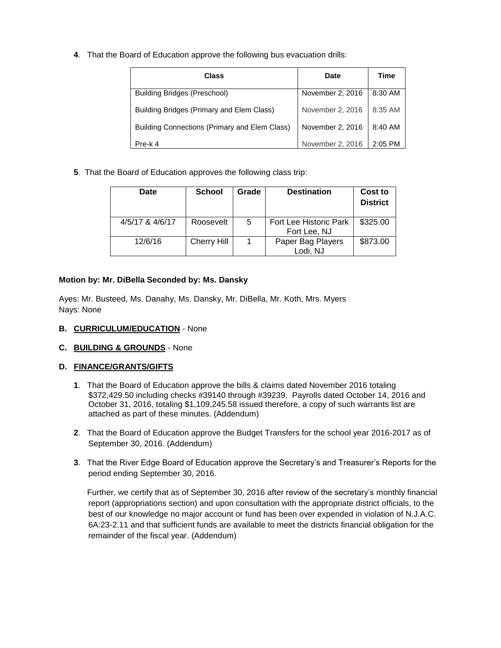**4**. That the Board of Education approve the following bus evacuation drills:

| Class                                         | <b>Date</b>      | Time      |
|-----------------------------------------------|------------------|-----------|
| Building Bridges (Preschool)                  | November 2, 2016 | 8:30 AM   |
| Building Bridges (Primary and Elem Class)     | November 2, 2016 | 8:35 AM   |
| Building Connections (Primary and Elem Class) | November 2, 2016 | 8:40 AM   |
| Pre-k 4                                       | November 2, 2016 | $2:05$ PM |

**5**. That the Board of Education approves the following class trip:

| Date            | <b>School</b> | Grade | <b>Destination</b>                     | Cost to<br><b>District</b> |
|-----------------|---------------|-------|----------------------------------------|----------------------------|
| 4/5/17 & 4/6/17 | Roosevelt     | 5     | Fort Lee Historic Park<br>Fort Lee, NJ | \$325.00                   |
| 12/6/16         | Cherry Hill   |       | Paper Bag Players<br>Lodi, NJ          | \$873.00                   |

### **Motion by: Mr. DiBella Seconded by: Ms. Dansky**

Ayes: Mr. Busteed, Ms. Danahy, Ms. Dansky, Mr. DiBella, Mr. Koth, Mrs. Myers Nays: None

- **B. CURRICULUM/EDUCATION** None
- **C. BUILDING & GROUNDS** None

### **D. FINANCE/GRANTS/GIFTS**

- **1**. That the Board of Education approve the bills & claims dated November 2016 totaling \$372,429.50 including checks #39140 through #39239. Payrolls dated October 14, 2016 and October 31, 2016, totaling \$1,109,245.58 issued therefore, a copy of such warrants list are attached as part of these minutes. (Addendum)
- **2**. That the Board of Education approve the Budget Transfers for the school year 2016-2017 as of September 30, 2016. (Addendum)
- **3**. That the River Edge Board of Education approve the Secretary's and Treasurer's Reports for the period ending September 30, 2016.

 Further, we certify that as of September 30, 2016 after review of the secretary's monthly financial report (appropriations section) and upon consultation with the appropriate district officials, to the best of our knowledge no major account or fund has been over expended in violation of N.J.A.C. 6A:23-2.11 and that sufficient funds are available to meet the districts financial obligation for the remainder of the fiscal year. (Addendum)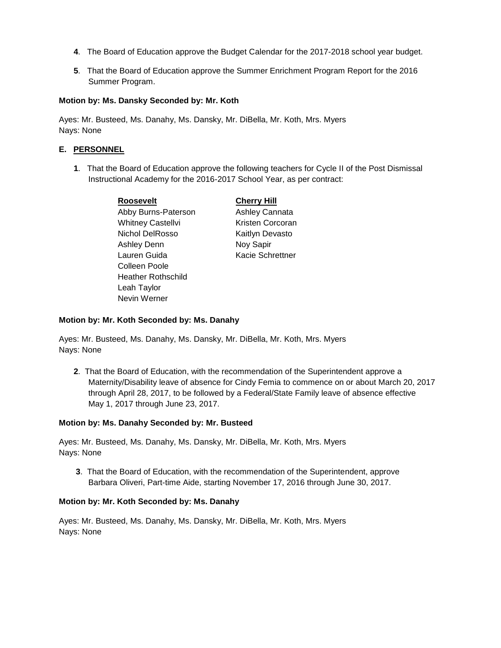- **4**. The Board of Education approve the Budget Calendar for the 2017-2018 school year budget.
- **5**. That the Board of Education approve the Summer Enrichment Program Report for the 2016 Summer Program.

#### **Motion by: Ms. Dansky Seconded by: Mr. Koth**

Ayes: Mr. Busteed, Ms. Danahy, Ms. Dansky, Mr. DiBella, Mr. Koth, Mrs. Myers Nays: None

#### **E. PERSONNEL**

**1**. That the Board of Education approve the following teachers for Cycle II of the Post Dismissal Instructional Academy for the 2016-2017 School Year, as per contract:

| <b>Roosevelt</b>          | <b>Cherry Hill</b> |
|---------------------------|--------------------|
| Abby Burns-Paterson       | Ashley Cannata     |
| <b>Whitney Castellvi</b>  | Kristen Corcoran   |
| Nichol DelRosso           | Kaitlyn Devasto    |
| <b>Ashley Denn</b>        | Noy Sapir          |
| Lauren Guida              | Kacie Schrettner   |
| Colleen Poole             |                    |
| <b>Heather Rothschild</b> |                    |
| Leah Taylor               |                    |
| Nevin Werner              |                    |

#### **Motion by: Mr. Koth Seconded by: Ms. Danahy**

Ayes: Mr. Busteed, Ms. Danahy, Ms. Dansky, Mr. DiBella, Mr. Koth, Mrs. Myers Nays: None

**2**. That the Board of Education, with the recommendation of the Superintendent approve a Maternity/Disability leave of absence for Cindy Femia to commence on or about March 20, 2017 through April 28, 2017, to be followed by a Federal/State Family leave of absence effective May 1, 2017 through June 23, 2017.

#### **Motion by: Ms. Danahy Seconded by: Mr. Busteed**

Ayes: Mr. Busteed, Ms. Danahy, Ms. Dansky, Mr. DiBella, Mr. Koth, Mrs. Myers Nays: None

**3**. That the Board of Education, with the recommendation of the Superintendent, approve Barbara Oliveri, Part-time Aide, starting November 17, 2016 through June 30, 2017.

#### **Motion by: Mr. Koth Seconded by: Ms. Danahy**

Ayes: Mr. Busteed, Ms. Danahy, Ms. Dansky, Mr. DiBella, Mr. Koth, Mrs. Myers Nays: None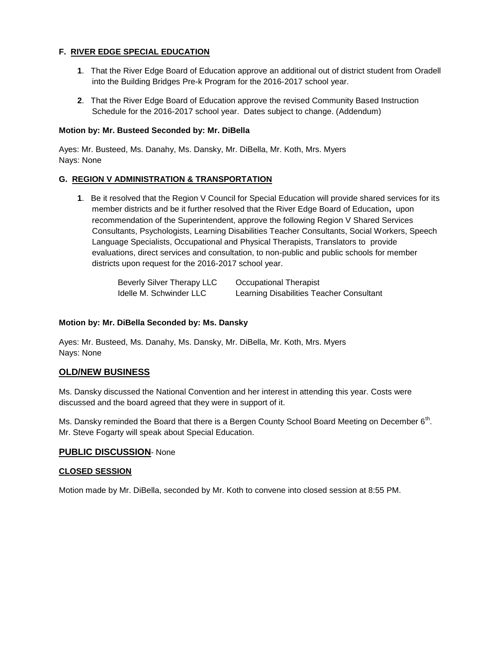## **F. RIVER EDGE SPECIAL EDUCATION**

- **1**. That the River Edge Board of Education approve an additional out of district student from Oradell into the Building Bridges Pre-k Program for the 2016-2017 school year.
- **2**. That the River Edge Board of Education approve the revised Community Based Instruction Schedule for the 2016-2017 school year. Dates subject to change. (Addendum)

### **Motion by: Mr. Busteed Seconded by: Mr. DiBella**

Ayes: Mr. Busteed, Ms. Danahy, Ms. Dansky, Mr. DiBella, Mr. Koth, Mrs. Myers Nays: None

### **G. REGION V ADMINISTRATION & TRANSPORTATION**

**1**. Be it resolved that the Region V Council for Special Education will provide shared services for its member districts and be it further resolved that the River Edge Board of Education**,** upon recommendation of the Superintendent, approve the following Region V Shared Services Consultants, Psychologists, Learning Disabilities Teacher Consultants, Social Workers, Speech Language Specialists, Occupational and Physical Therapists, Translators to provide evaluations, direct services and consultation, to non-public and public schools for member districts upon request for the 2016-2017 school year.

> Beverly Silver Therapy LLC Occupational Therapist Idelle M. Schwinder LLC Learning Disabilities Teacher Consultant

#### **Motion by: Mr. DiBella Seconded by: Ms. Dansky**

Ayes: Mr. Busteed, Ms. Danahy, Ms. Dansky, Mr. DiBella, Mr. Koth, Mrs. Myers Nays: None

### **OLD/NEW BUSINESS**

Ms. Dansky discussed the National Convention and her interest in attending this year. Costs were discussed and the board agreed that they were in support of it.

Ms. Dansky reminded the Board that there is a Bergen County School Board Meeting on December 6<sup>th</sup>. Mr. Steve Fogarty will speak about Special Education.

### **PUBLIC DISCUSSION**- None

#### **CLOSED SESSION**

Motion made by Mr. DiBella, seconded by Mr. Koth to convene into closed session at 8:55 PM.